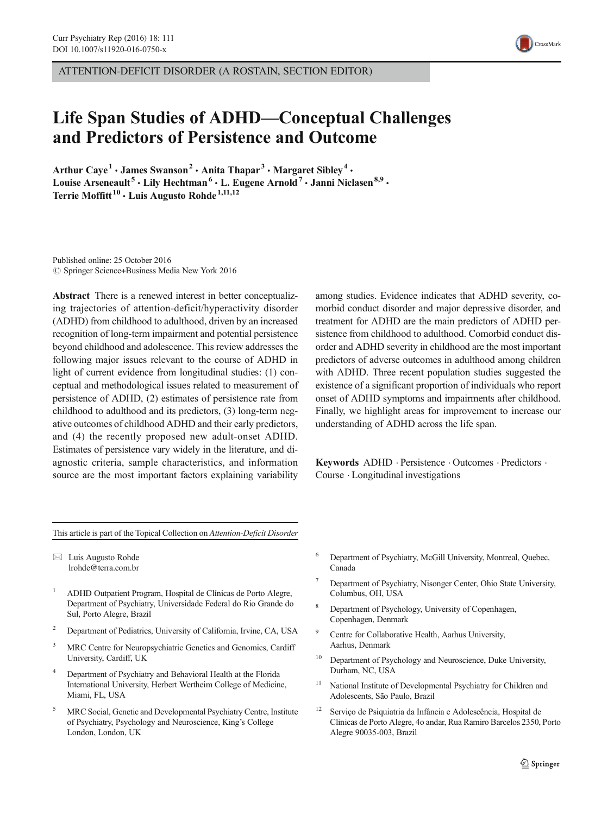

# Life Span Studies of ADHD—Conceptual Challenges and Predictors of Persistence and Outcome

Arthur Caye<sup>1</sup> • James Swanson<sup>2</sup> • Anita Thapar<sup>3</sup> • Margaret Sibley<sup>4</sup> • Louise Arseneault<sup>5</sup> • Lily Hechtman<sup>6</sup> • L. Eugene Arnold<sup>7</sup> • Janni Niclasen<sup>8,9</sup> • Terrie Moffitt<sup>10</sup> · Luis Augusto Rohde<sup>1,11,12</sup>

Published online: 25 October 2016  $\circ$  Springer Science+Business Media New York 2016

Abstract There is a renewed interest in better conceptualizing trajectories of attention-deficit/hyperactivity disorder (ADHD) from childhood to adulthood, driven by an increased recognition of long-term impairment and potential persistence beyond childhood and adolescence. This review addresses the following major issues relevant to the course of ADHD in light of current evidence from longitudinal studies: (1) conceptual and methodological issues related to measurement of persistence of ADHD, (2) estimates of persistence rate from childhood to adulthood and its predictors, (3) long-term negative outcomes of childhood ADHD and their early predictors, and (4) the recently proposed new adult-onset ADHD. Estimates of persistence vary widely in the literature, and diagnostic criteria, sample characteristics, and information source are the most important factors explaining variability

among studies. Evidence indicates that ADHD severity, comorbid conduct disorder and major depressive disorder, and treatment for ADHD are the main predictors of ADHD persistence from childhood to adulthood. Comorbid conduct disorder and ADHD severity in childhood are the most important predictors of adverse outcomes in adulthood among children with ADHD. Three recent population studies suggested the existence of a significant proportion of individuals who report onset of ADHD symptoms and impairments after childhood. Finally, we highlight areas for improvement to increase our understanding of ADHD across the life span.

Keywords ADHD . Persistence . Outcomes . Predictors . Course . Longitudinal investigations

This article is part of the Topical Collection on Attention-Deficit Disorder

 $\boxtimes$  Luis Augusto Rohde lrohde@terra.com.br

- <sup>1</sup> ADHD Outpatient Program, Hospital de Clínicas de Porto Alegre, Department of Psychiatry, Universidade Federal do Rio Grande do Sul, Porto Alegre, Brazil
- <sup>2</sup> Department of Pediatrics, University of California, Irvine, CA, USA
- <sup>3</sup> MRC Centre for Neuropsychiatric Genetics and Genomics, Cardiff University, Cardiff, UK
- <sup>4</sup> Department of Psychiatry and Behavioral Health at the Florida International University, Herbert Wertheim College of Medicine, Miami, FL, USA
- <sup>5</sup> MRC Social, Genetic and Developmental Psychiatry Centre, Institute of Psychiatry, Psychology and Neuroscience, King's College London, London, UK
- <sup>6</sup> Department of Psychiatry, McGill University, Montreal, Quebec, Canada
- Department of Psychiatry, Nisonger Center, Ohio State University, Columbus, OH, USA
- Department of Psychology, University of Copenhagen, Copenhagen, Denmark
- <sup>9</sup> Centre for Collaborative Health, Aarhus University, Aarhus, Denmark
- <sup>10</sup> Department of Psychology and Neuroscience, Duke University, Durham, NC, USA
- <sup>11</sup> National Institute of Developmental Psychiatry for Children and Adolescents, São Paulo, Brazil
- <sup>12</sup> Serviço de Psiquiatria da Infância e Adolescência, Hospital de Clinicas de Porto Alegre, 4o andar, Rua Ramiro Barcelos 2350, Porto Alegre 90035-003, Brazil

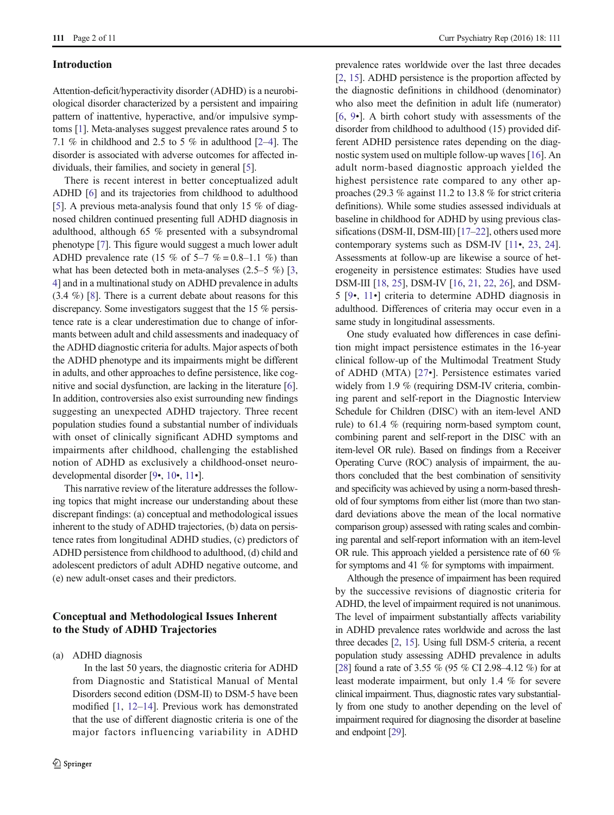#### Introduction

Attention-deficit/hyperactivity disorder (ADHD) is a neurobiological disorder characterized by a persistent and impairing pattern of inattentive, hyperactive, and/or impulsive symptoms [[1\]](#page-7-0). Meta-analyses suggest prevalence rates around 5 to 7.1 % in childhood and 2.5 to 5 % in adulthood  $[2-4]$  $[2-4]$  $[2-4]$  $[2-4]$ . The disorder is associated with adverse outcomes for affected individuals, their families, and society in general [[5](#page-7-0)].

There is recent interest in better conceptualized adult ADHD [\[6\]](#page-7-0) and its trajectories from childhood to adulthood [\[5\]](#page-7-0). A previous meta-analysis found that only 15 % of diagnosed children continued presenting full ADHD diagnosis in adulthood, although 65 % presented with a subsyndromal phenotype [\[7](#page-7-0)]. This figure would suggest a much lower adult ADHD prevalence rate (15 % of 5–7 % = 0.8–1.1 %) than what has been detected both in meta-analyses  $(2.5-5\%)$  [[3,](#page-7-0) [4\]](#page-7-0) and in a multinational study on ADHD prevalence in adults (3.4 %) [\[8](#page-7-0)]. There is a current debate about reasons for this discrepancy. Some investigators suggest that the 15 % persistence rate is a clear underestimation due to change of informants between adult and child assessments and inadequacy of the ADHD diagnostic criteria for adults. Major aspects of both the ADHD phenotype and its impairments might be different in adults, and other approaches to define persistence, like cognitive and social dysfunction, are lacking in the literature [[6\]](#page-7-0). In addition, controversies also exist surrounding new findings suggesting an unexpected ADHD trajectory. Three recent population studies found a substantial number of individuals with onset of clinically significant ADHD symptoms and impairments after childhood, challenging the established notion of ADHD as exclusively a childhood-onset neurodevelopmental disorder [\[9](#page-7-0)•, [10](#page-7-0)•, [11](#page-7-0)•].

This narrative review of the literature addresses the following topics that might increase our understanding about these discrepant findings: (a) conceptual and methodological issues inherent to the study of ADHD trajectories, (b) data on persistence rates from longitudinal ADHD studies, (c) predictors of ADHD persistence from childhood to adulthood, (d) child and adolescent predictors of adult ADHD negative outcome, and (e) new adult-onset cases and their predictors.

### Conceptual and Methodological Issues Inherent to the Study of ADHD Trajectories

(a) ADHD diagnosis

In the last 50 years, the diagnostic criteria for ADHD from Diagnostic and Statistical Manual of Mental Disorders second edition (DSM-II) to DSM-5 have been modified [[1](#page-7-0), [12](#page-7-0)–[14](#page-7-0)]. Previous work has demonstrated that the use of different diagnostic criteria is one of the major factors influencing variability in ADHD prevalence rates worldwide over the last three decades [[2](#page-7-0), [15](#page-7-0)]. ADHD persistence is the proportion affected by the diagnostic definitions in childhood (denominator) who also meet the definition in adult life (numerator) [[6,](#page-7-0) [9](#page-7-0)•]. A birth cohort study with assessments of the disorder from childhood to adulthood (15) provided different ADHD persistence rates depending on the diagnostic system used on multiple follow-up waves [[16\]](#page-7-0). An adult norm-based diagnostic approach yielded the highest persistence rate compared to any other approaches (29.3 % against 11.2 to 13.8 % for strict criteria definitions). While some studies assessed individuals at baseline in childhood for ADHD by using previous clas-sifications (DSM-II, DSM-III) [[17](#page-7-0)–[22](#page-7-0)], others used more contemporary systems such as DSM-IV [[11](#page-7-0)•, [23,](#page-7-0) [24\]](#page-7-0). Assessments at follow-up are likewise a source of heterogeneity in persistence estimates: Studies have used DSM-III [\[18,](#page-7-0) [25](#page-8-0)], DSM-IV [\[16,](#page-7-0) [21](#page-7-0), [22](#page-7-0), [26](#page-8-0)], and DSM-5 [[9](#page-7-0)•, [11](#page-7-0)•] criteria to determine ADHD diagnosis in adulthood. Differences of criteria may occur even in a same study in longitudinal assessments.

One study evaluated how differences in case definition might impact persistence estimates in the 16-year clinical follow-up of the Multimodal Treatment Study of ADHD (MTA) [[27](#page-8-0)•]. Persistence estimates varied widely from 1.9 % (requiring DSM-IV criteria, combining parent and self-report in the Diagnostic Interview Schedule for Children (DISC) with an item-level AND rule) to 61.4 % (requiring norm-based symptom count, combining parent and self-report in the DISC with an item-level OR rule). Based on findings from a Receiver Operating Curve (ROC) analysis of impairment, the authors concluded that the best combination of sensitivity and specificity was achieved by using a norm-based threshold of four symptoms from either list (more than two standard deviations above the mean of the local normative comparison group) assessed with rating scales and combining parental and self-report information with an item-level OR rule. This approach yielded a persistence rate of 60 % for symptoms and 41 % for symptoms with impairment.

Although the presence of impairment has been required by the successive revisions of diagnostic criteria for ADHD, the level of impairment required is not unanimous. The level of impairment substantially affects variability in ADHD prevalence rates worldwide and across the last three decades [[2](#page-7-0), [15](#page-7-0)]. Using full DSM-5 criteria, a recent population study assessing ADHD prevalence in adults [\[28\]](#page-8-0) found a rate of 3.55 % (95 % CI 2.98–4.12 %) for at least moderate impairment, but only 1.4 % for severe clinical impairment. Thus, diagnostic rates vary substantially from one study to another depending on the level of impairment required for diagnosing the disorder at baseline and endpoint [\[29](#page-8-0)].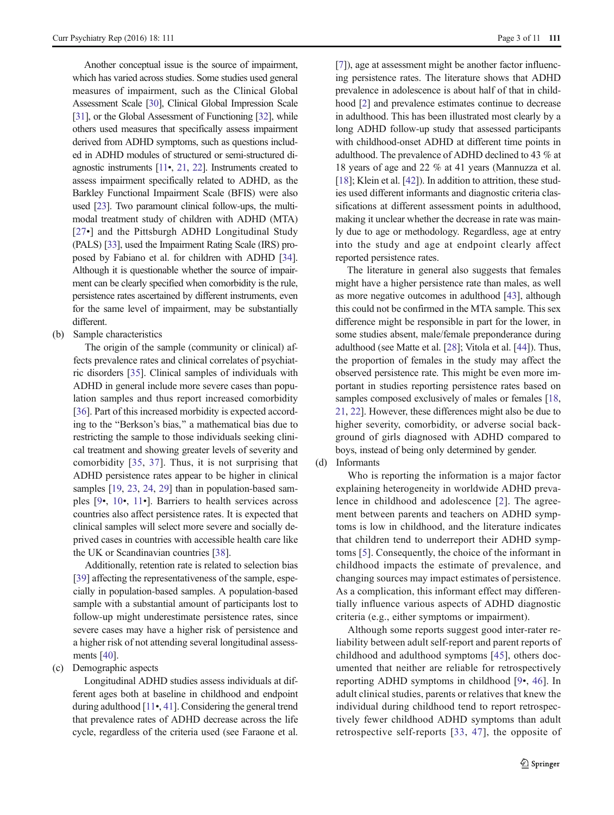Another conceptual issue is the source of impairment, which has varied across studies. Some studies used general measures of impairment, such as the Clinical Global Assessment Scale [\[30\]](#page-8-0), Clinical Global Impression Scale [\[31\]](#page-8-0), or the Global Assessment of Functioning [\[32](#page-8-0)], while others used measures that specifically assess impairment derived from ADHD symptoms, such as questions included in ADHD modules of structured or semi-structured diagnostic instruments [\[11](#page-7-0)•, [21](#page-7-0), [22](#page-7-0)]. Instruments created to assess impairment specifically related to ADHD, as the Barkley Functional Impairment Scale (BFIS) were also used [\[23](#page-7-0)]. Two paramount clinical follow-ups, the multimodal treatment study of children with ADHD (MTA) [[27](#page-8-0)•] and the Pittsburgh ADHD Longitudinal Study (PALS) [\[33](#page-8-0)], used the Impairment Rating Scale (IRS) proposed by Fabiano et al. for children with ADHD [\[34\]](#page-8-0). Although it is questionable whether the source of impairment can be clearly specified when comorbidity is the rule, persistence rates ascertained by different instruments, even for the same level of impairment, may be substantially different.

(b) Sample characteristics

The origin of the sample (community or clinical) affects prevalence rates and clinical correlates of psychiatric disorders [\[35](#page-8-0)]. Clinical samples of individuals with ADHD in general include more severe cases than population samples and thus report increased comorbidity [\[36\]](#page-8-0). Part of this increased morbidity is expected according to the "Berkson's bias," a mathematical bias due to restricting the sample to those individuals seeking clinical treatment and showing greater levels of severity and comorbidity [[35](#page-8-0), [37](#page-8-0)]. Thus, it is not surprising that ADHD persistence rates appear to be higher in clinical samples [\[19](#page-7-0), [23](#page-7-0), [24,](#page-7-0) [29\]](#page-8-0) than in population-based samples [\[9](#page-7-0)•, [10](#page-7-0)•, [11](#page-7-0)•]. Barriers to health services across countries also affect persistence rates. It is expected that clinical samples will select more severe and socially deprived cases in countries with accessible health care like the UK or Scandinavian countries [[38\]](#page-8-0).

Additionally, retention rate is related to selection bias [\[39\]](#page-8-0) affecting the representativeness of the sample, especially in population-based samples. A population-based sample with a substantial amount of participants lost to follow-up might underestimate persistence rates, since severe cases may have a higher risk of persistence and a higher risk of not attending several longitudinal assessments [[40\]](#page-8-0).

(c) Demographic aspects

Longitudinal ADHD studies assess individuals at different ages both at baseline in childhood and endpoint during adulthood [[11](#page-7-0)•, [41](#page-8-0)]. Considering the general trend that prevalence rates of ADHD decrease across the life cycle, regardless of the criteria used (see Faraone et al. [[7](#page-7-0)]), age at assessment might be another factor influencing persistence rates. The literature shows that ADHD prevalence in adolescence is about half of that in childhood [\[2](#page-7-0)] and prevalence estimates continue to decrease in adulthood. This has been illustrated most clearly by a long ADHD follow-up study that assessed participants with childhood-onset ADHD at different time points in adulthood. The prevalence of ADHD declined to 43 % at 18 years of age and 22 % at 41 years (Mannuzza et al. [[18](#page-7-0)]; Klein et al. [[42](#page-8-0)]). In addition to attrition, these studies used different informants and diagnostic criteria classifications at different assessment points in adulthood, making it unclear whether the decrease in rate was mainly due to age or methodology. Regardless, age at entry into the study and age at endpoint clearly affect reported persistence rates.

The literature in general also suggests that females might have a higher persistence rate than males, as well as more negative outcomes in adulthood [[43\]](#page-8-0), although this could not be confirmed in the MTA sample. This sex difference might be responsible in part for the lower, in some studies absent, male/female preponderance during adulthood (see Matte et al. [[28](#page-8-0)]; Vitola et al. [\[44](#page-8-0)]). Thus, the proportion of females in the study may affect the observed persistence rate. This might be even more important in studies reporting persistence rates based on samples composed exclusively of males or females [\[18,](#page-7-0) [21](#page-7-0), [22\]](#page-7-0). However, these differences might also be due to higher severity, comorbidity, or adverse social background of girls diagnosed with ADHD compared to boys, instead of being only determined by gender.

(d) Informants

Who is reporting the information is a major factor explaining heterogeneity in worldwide ADHD prevalence in childhood and adolescence [[2](#page-7-0)]. The agreement between parents and teachers on ADHD symptoms is low in childhood, and the literature indicates that children tend to underreport their ADHD symptoms [\[5\]](#page-7-0). Consequently, the choice of the informant in childhood impacts the estimate of prevalence, and changing sources may impact estimates of persistence. As a complication, this informant effect may differentially influence various aspects of ADHD diagnostic criteria (e.g., either symptoms or impairment).

Although some reports suggest good inter-rater reliability between adult self-report and parent reports of childhood and adulthood symptoms [\[45](#page-8-0)], others documented that neither are reliable for retrospectively reporting ADHD symptoms in childhood [[9](#page-7-0)•, [46\]](#page-8-0). In adult clinical studies, parents or relatives that knew the individual during childhood tend to report retrospectively fewer childhood ADHD symptoms than adult retrospective self-reports [[33](#page-8-0), [47\]](#page-8-0), the opposite of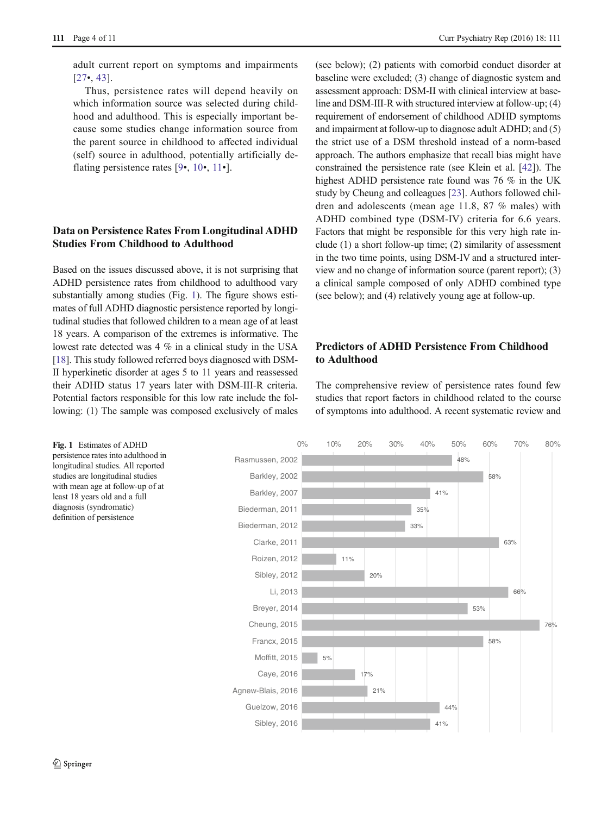adult current report on symptoms and impairments [\[27](#page-8-0)•, [43\]](#page-8-0).

Thus, persistence rates will depend heavily on which information source was selected during childhood and adulthood. This is especially important because some studies change information source from the parent source in childhood to affected individual (self) source in adulthood, potentially artificially de-flating persistence rates [[9](#page-7-0)•, [10](#page-7-0)•, [11](#page-7-0)•].

## Data on Persistence Rates From Longitudinal ADHD Studies From Childhood to Adulthood

Based on the issues discussed above, it is not surprising that ADHD persistence rates from childhood to adulthood vary substantially among studies (Fig. 1). The figure shows estimates of full ADHD diagnostic persistence reported by longitudinal studies that followed children to a mean age of at least 18 years. A comparison of the extremes is informative. The lowest rate detected was 4 % in a clinical study in the USA [\[18\]](#page-7-0). This study followed referred boys diagnosed with DSM-II hyperkinetic disorder at ages 5 to 11 years and reassessed their ADHD status 17 years later with DSM-III-R criteria. Potential factors responsible for this low rate include the following: (1) The sample was composed exclusively of males

(see below); (2) patients with comorbid conduct disorder at baseline were excluded; (3) change of diagnostic system and assessment approach: DSM-II with clinical interview at baseline and DSM-III-R with structured interview at follow-up; (4) requirement of endorsement of childhood ADHD symptoms and impairment at follow-up to diagnose adult ADHD; and (5) the strict use of a DSM threshold instead of a norm-based approach. The authors emphasize that recall bias might have constrained the persistence rate (see Klein et al. [[42\]](#page-8-0)). The highest ADHD persistence rate found was 76 % in the UK study by Cheung and colleagues [\[23\]](#page-7-0). Authors followed children and adolescents (mean age 11.8, 87 % males) with ADHD combined type (DSM-IV) criteria for 6.6 years. Factors that might be responsible for this very high rate include (1) a short follow-up time; (2) similarity of assessment in the two time points, using DSM-IV and a structured interview and no change of information source (parent report); (3) a clinical sample composed of only ADHD combined type (see below); and (4) relatively young age at follow-up.

# Predictors of ADHD Persistence From Childhood to Adulthood

The comprehensive review of persistence rates found few studies that report factors in childhood related to the course of symptoms into adulthood. A recent systematic review and

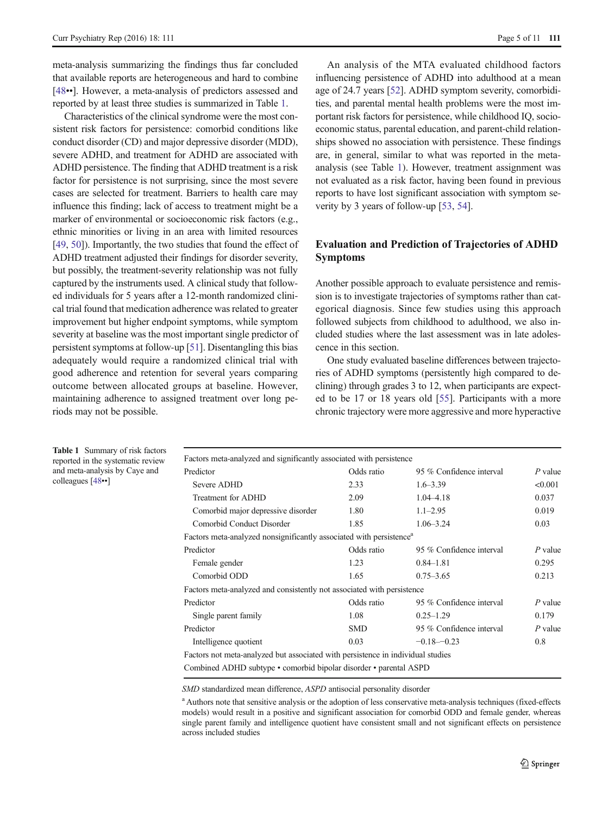meta-analysis summarizing the findings thus far concluded that available reports are heterogeneous and hard to combine [\[48](#page-8-0)••]. However, a meta-analysis of predictors assessed and reported by at least three studies is summarized in Table 1.

Characteristics of the clinical syndrome were the most consistent risk factors for persistence: comorbid conditions like conduct disorder (CD) and major depressive disorder (MDD), severe ADHD, and treatment for ADHD are associated with ADHD persistence. The finding that ADHD treatment is a risk factor for persistence is not surprising, since the most severe cases are selected for treatment. Barriers to health care may influence this finding; lack of access to treatment might be a marker of environmental or socioeconomic risk factors (e.g., ethnic minorities or living in an area with limited resources [\[49,](#page-8-0) [50\]](#page-8-0)). Importantly, the two studies that found the effect of ADHD treatment adjusted their findings for disorder severity, but possibly, the treatment-severity relationship was not fully captured by the instruments used. A clinical study that followed individuals for 5 years after a 12-month randomized clinical trial found that medication adherence was related to greater improvement but higher endpoint symptoms, while symptom severity at baseline was the most important single predictor of persistent symptoms at follow-up [\[51\]](#page-8-0). Disentangling this bias adequately would require a randomized clinical trial with good adherence and retention for several years comparing outcome between allocated groups at baseline. However, maintaining adherence to assigned treatment over long periods may not be possible.

An analysis of the MTA evaluated childhood factors influencing persistence of ADHD into adulthood at a mean age of 24.7 years [[52](#page-8-0)]. ADHD symptom severity, comorbidities, and parental mental health problems were the most important risk factors for persistence, while childhood IQ, socioeconomic status, parental education, and parent-child relationships showed no association with persistence. These findings are, in general, similar to what was reported in the metaanalysis (see Table 1). However, treatment assignment was not evaluated as a risk factor, having been found in previous reports to have lost significant association with symptom severity by 3 years of follow-up [[53,](#page-8-0) [54](#page-8-0)].

# Evaluation and Prediction of Trajectories of ADHD Symptoms

Another possible approach to evaluate persistence and remission is to investigate trajectories of symptoms rather than categorical diagnosis. Since few studies using this approach followed subjects from childhood to adulthood, we also included studies where the last assessment was in late adolescence in this section.

One study evaluated baseline differences between trajectories of ADHD symptoms (persistently high compared to declining) through grades 3 to 12, when participants are expected to be 17 or 18 years old [\[55](#page-8-0)]. Participants with a more chronic trajectory were more aggressive and more hyperactive

Table 1 Summary of risk factors reported in the systematic review and meta-analysis by Caye and colleagues [\[48](#page-8-0)••]

| Factors meta-analyzed and significantly associated with persistence             |            |                          |           |
|---------------------------------------------------------------------------------|------------|--------------------------|-----------|
| Predictor                                                                       | Odds ratio | 95 % Confidence interval | $P$ value |
| Severe ADHD                                                                     | 2.33       | $1.6 - 3.39$             | < 0.001   |
| Treatment for ADHD                                                              | 2.09       | 1.04 - 4.18              | 0.037     |
| Comorbid major depressive disorder                                              | 1.80       | $1.1 - 2.95$             | 0.019     |
| Comorbid Conduct Disorder                                                       | 1.85       | $1.06 - 3.24$            | 0.03      |
| Factors meta-analyzed nonsignificantly associated with persistence <sup>a</sup> |            |                          |           |
| Predictor                                                                       | Odds ratio | 95 % Confidence interval | $P$ value |
| Female gender                                                                   | 1.23       | $0.84 - 1.81$            | 0.295     |
| Comorbid ODD                                                                    | 1.65       | $0.75 - 3.65$            | 0.213     |
| Factors meta-analyzed and consistently not associated with persistence          |            |                          |           |
| Predictor                                                                       | Odds ratio | 95 % Confidence interval | $P$ value |
| Single parent family                                                            | 1.08       | $0.25 - 1.29$            | 0.179     |
| Predictor                                                                       | <b>SMD</b> | 95 % Confidence interval | $P$ value |
| Intelligence quotient                                                           | 0.03       | $-0.18 - 0.23$           | 0.8       |
| Factors not meta-analyzed but associated with persistence in individual studies |            |                          |           |
| Combined ADHD subtype • comorbid bipolar disorder • parental ASPD               |            |                          |           |
|                                                                                 |            |                          |           |

SMD standardized mean difference, ASPD antisocial personality disorder

<sup>a</sup> Authors note that sensitive analysis or the adoption of less conservative meta-analysis techniques (fixed-effects models) would result in a positive and significant association for comorbid ODD and female gender, whereas single parent family and intelligence quotient have consistent small and not significant effects on persistence across included studies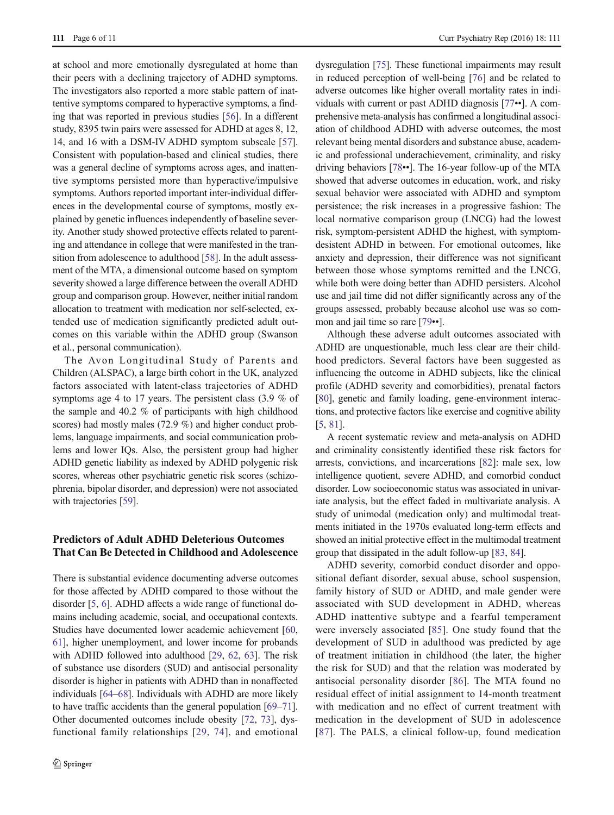at school and more emotionally dysregulated at home than their peers with a declining trajectory of ADHD symptoms. The investigators also reported a more stable pattern of inattentive symptoms compared to hyperactive symptoms, a finding that was reported in previous studies [[56\]](#page-8-0). In a different study, 8395 twin pairs were assessed for ADHD at ages 8, 12, 14, and 16 with a DSM-IV ADHD symptom subscale [[57\]](#page-9-0). Consistent with population-based and clinical studies, there was a general decline of symptoms across ages, and inattentive symptoms persisted more than hyperactive/impulsive symptoms. Authors reported important inter-individual differences in the developmental course of symptoms, mostly explained by genetic influences independently of baseline severity. Another study showed protective effects related to parenting and attendance in college that were manifested in the transition from adolescence to adulthood [[58\]](#page-9-0). In the adult assessment of the MTA, a dimensional outcome based on symptom severity showed a large difference between the overall ADHD group and comparison group. However, neither initial random allocation to treatment with medication nor self-selected, extended use of medication significantly predicted adult outcomes on this variable within the ADHD group (Swanson et al., personal communication).

The Avon Longitudinal Study of Parents and Children (ALSPAC), a large birth cohort in the UK, analyzed factors associated with latent-class trajectories of ADHD symptoms age 4 to 17 years. The persistent class (3.9 % of the sample and 40.2 % of participants with high childhood scores) had mostly males (72.9 %) and higher conduct problems, language impairments, and social communication problems and lower IQs. Also, the persistent group had higher ADHD genetic liability as indexed by ADHD polygenic risk scores, whereas other psychiatric genetic risk scores (schizophrenia, bipolar disorder, and depression) were not associated with trajectories [\[59\]](#page-9-0).

# Predictors of Adult ADHD Deleterious Outcomes That Can Be Detected in Childhood and Adolescence

There is substantial evidence documenting adverse outcomes for those affected by ADHD compared to those without the disorder [\[5](#page-7-0), [6](#page-7-0)]. ADHD affects a wide range of functional domains including academic, social, and occupational contexts. Studies have documented lower academic achievement [[60,](#page-9-0) [61\]](#page-9-0), higher unemployment, and lower income for probands with ADHD followed into adulthood [[29](#page-8-0), [62](#page-9-0), [63\]](#page-9-0). The risk of substance use disorders (SUD) and antisocial personality disorder is higher in patients with ADHD than in nonaffected individuals [[64](#page-9-0)–[68](#page-9-0)]. Individuals with ADHD are more likely to have traffic accidents than the general population [\[69](#page-9-0)–[71\]](#page-9-0). Other documented outcomes include obesity [\[72,](#page-9-0) [73\]](#page-9-0), dysfunctional family relationships [[29,](#page-8-0) [74](#page-9-0)], and emotional dysregulation [[75\]](#page-9-0). These functional impairments may result in reduced perception of well-being [\[76](#page-9-0)] and be related to adverse outcomes like higher overall mortality rates in individuals with current or past ADHD diagnosis [[77](#page-9-0)••]. A comprehensive meta-analysis has confirmed a longitudinal association of childhood ADHD with adverse outcomes, the most relevant being mental disorders and substance abuse, academic and professional underachievement, criminality, and risky driving behaviors [[78](#page-9-0)••]. The 16-year follow-up of the MTA showed that adverse outcomes in education, work, and risky sexual behavior were associated with ADHD and symptom persistence; the risk increases in a progressive fashion: The local normative comparison group (LNCG) had the lowest risk, symptom-persistent ADHD the highest, with symptomdesistent ADHD in between. For emotional outcomes, like anxiety and depression, their difference was not significant between those whose symptoms remitted and the LNCG, while both were doing better than ADHD persisters. Alcohol use and jail time did not differ significantly across any of the groups assessed, probably because alcohol use was so common and jail time so rare [\[79](#page-9-0)••].

Although these adverse adult outcomes associated with ADHD are unquestionable, much less clear are their childhood predictors. Several factors have been suggested as influencing the outcome in ADHD subjects, like the clinical profile (ADHD severity and comorbidities), prenatal factors [\[80](#page-9-0)], genetic and family loading, gene-environment interactions, and protective factors like exercise and cognitive ability [\[5](#page-7-0), [81\]](#page-9-0).

A recent systematic review and meta-analysis on ADHD and criminality consistently identified these risk factors for arrests, convictions, and incarcerations [\[82\]](#page-9-0): male sex, low intelligence quotient, severe ADHD, and comorbid conduct disorder. Low socioeconomic status was associated in univariate analysis, but the effect faded in multivariate analysis. A study of unimodal (medication only) and multimodal treatments initiated in the 1970s evaluated long-term effects and showed an initial protective effect in the multimodal treatment group that dissipated in the adult follow-up [\[83,](#page-9-0) [84\]](#page-9-0).

ADHD severity, comorbid conduct disorder and oppositional defiant disorder, sexual abuse, school suspension, family history of SUD or ADHD, and male gender were associated with SUD development in ADHD, whereas ADHD inattentive subtype and a fearful temperament were inversely associated [[85](#page-10-0)]. One study found that the development of SUD in adulthood was predicted by age of treatment initiation in childhood (the later, the higher the risk for SUD) and that the relation was moderated by antisocial personality disorder [\[86\]](#page-10-0). The MTA found no residual effect of initial assignment to 14-month treatment with medication and no effect of current treatment with medication in the development of SUD in adolescence [\[87\]](#page-10-0). The PALS, a clinical follow-up, found medication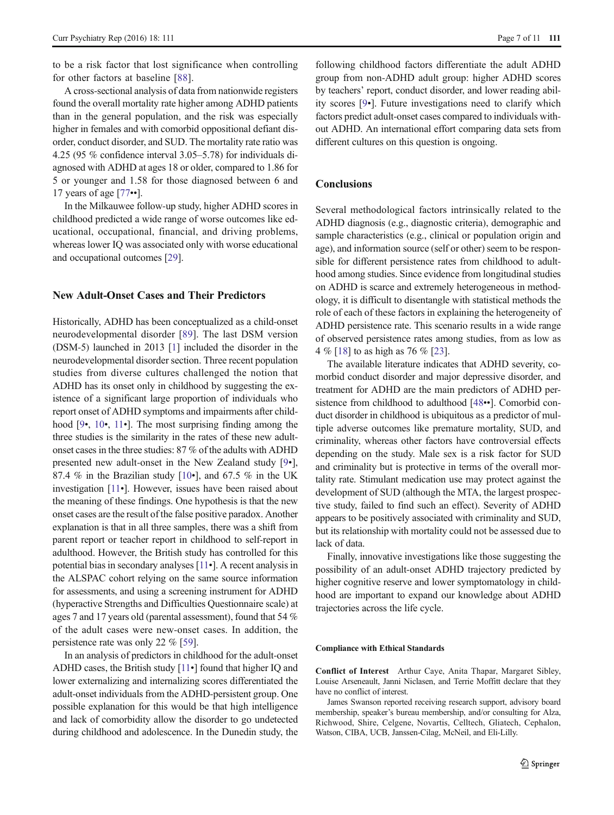to be a risk factor that lost significance when controlling for other factors at baseline [\[88](#page-10-0)].

A cross-sectional analysis of data from nationwide registers found the overall mortality rate higher among ADHD patients than in the general population, and the risk was especially higher in females and with comorbid oppositional defiant disorder, conduct disorder, and SUD. The mortality rate ratio was 4.25 (95 % confidence interval 3.05–5.78) for individuals diagnosed with ADHD at ages 18 or older, compared to 1.86 for 5 or younger and 1.58 for those diagnosed between 6 and 17 years of age [\[77](#page-9-0)••].

In the Milkauwee follow-up study, higher ADHD scores in childhood predicted a wide range of worse outcomes like educational, occupational, financial, and driving problems, whereas lower IQ was associated only with worse educational and occupational outcomes [[29\]](#page-8-0).

#### New Adult-Onset Cases and Their Predictors

Historically, ADHD has been conceptualized as a child-onset neurodevelopmental disorder [[89](#page-10-0)]. The last DSM version (DSM-5) launched in 2013 [[1](#page-7-0)] included the disorder in the neurodevelopmental disorder section. Three recent population studies from diverse cultures challenged the notion that ADHD has its onset only in childhood by suggesting the existence of a significant large proportion of individuals who report onset of ADHD symptoms and impairments after child-hood [\[9](#page-7-0)•, [10](#page-7-0)•, [11](#page-7-0)•]. The most surprising finding among the three studies is the similarity in the rates of these new adultonset cases in the three studies: 87 % of the adults with ADHD presented new adult-onset in the New Zealand study [[9](#page-7-0)•], 87.4 % in the Brazilian study  $[10\bullet]$  $[10\bullet]$ , and 67.5 % in the UK investigation [\[11](#page-7-0)•]. However, issues have been raised about the meaning of these findings. One hypothesis is that the new onset cases are the result of the false positive paradox. Another explanation is that in all three samples, there was a shift from parent report or teacher report in childhood to self-report in adulthood. However, the British study has controlled for this potential bias in secondary analyses [\[11](#page-7-0)•]. A recent analysis in the ALSPAC cohort relying on the same source information for assessments, and using a screening instrument for ADHD (hyperactive Strengths and Difficulties Questionnaire scale) at ages 7 and 17 years old (parental assessment), found that 54 % of the adult cases were new-onset cases. In addition, the persistence rate was only 22 % [[59](#page-9-0)].

In an analysis of predictors in childhood for the adult-onset ADHD cases, the British study [[11](#page-7-0)•] found that higher IQ and lower externalizing and internalizing scores differentiated the adult-onset individuals from the ADHD-persistent group. One possible explanation for this would be that high intelligence and lack of comorbidity allow the disorder to go undetected during childhood and adolescence. In the Dunedin study, the

following childhood factors differentiate the adult ADHD group from non-ADHD adult group: higher ADHD scores by teachers' report, conduct disorder, and lower reading ability scores [[9](#page-7-0)•]. Future investigations need to clarify which factors predict adult-onset cases compared to individuals without ADHD. An international effort comparing data sets from different cultures on this question is ongoing.

#### **Conclusions**

Several methodological factors intrinsically related to the ADHD diagnosis (e.g., diagnostic criteria), demographic and sample characteristics (e.g., clinical or population origin and age), and information source (self or other) seem to be responsible for different persistence rates from childhood to adulthood among studies. Since evidence from longitudinal studies on ADHD is scarce and extremely heterogeneous in methodology, it is difficult to disentangle with statistical methods the role of each of these factors in explaining the heterogeneity of ADHD persistence rate. This scenario results in a wide range of observed persistence rates among studies, from as low as 4%[[18](#page-7-0)] to as high as 76 % [\[23\]](#page-7-0).

The available literature indicates that ADHD severity, comorbid conduct disorder and major depressive disorder, and treatment for ADHD are the main predictors of ADHD per-sistence from childhood to adulthood [\[48](#page-8-0)••]. Comorbid conduct disorder in childhood is ubiquitous as a predictor of multiple adverse outcomes like premature mortality, SUD, and criminality, whereas other factors have controversial effects depending on the study. Male sex is a risk factor for SUD and criminality but is protective in terms of the overall mortality rate. Stimulant medication use may protect against the development of SUD (although the MTA, the largest prospective study, failed to find such an effect). Severity of ADHD appears to be positively associated with criminality and SUD, but its relationship with mortality could not be assessed due to lack of data.

Finally, innovative investigations like those suggesting the possibility of an adult-onset ADHD trajectory predicted by higher cognitive reserve and lower symptomatology in childhood are important to expand our knowledge about ADHD trajectories across the life cycle.

#### Compliance with Ethical Standards

Conflict of Interest Arthur Caye, Anita Thapar, Margaret Sibley, Louise Arseneault, Janni Niclasen, and Terrie Moffitt declare that they have no conflict of interest.

James Swanson reported receiving research support, advisory board membership, speaker's bureau membership, and/or consulting for Alza, Richwood, Shire, Celgene, Novartis, Celltech, Gliatech, Cephalon, Watson, CIBA, UCB, Janssen-Cilag, McNeil, and Eli-Lilly.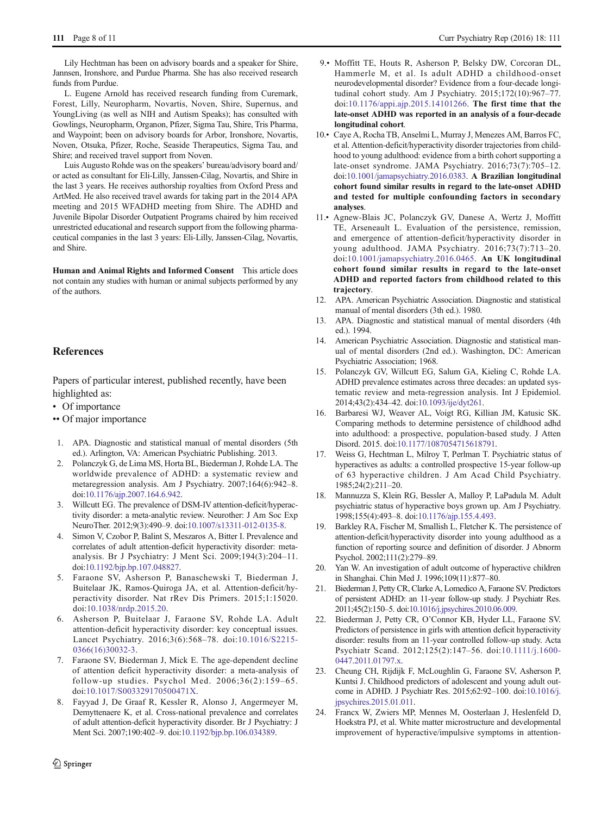<span id="page-7-0"></span>Lily Hechtman has been on advisory boards and a speaker for Shire, Jannsen, Ironshore, and Purdue Pharma. She has also received research funds from Purdue.

L. Eugene Arnold has received research funding from Curemark, Forest, Lilly, Neuropharm, Novartis, Noven, Shire, Supernus, and YoungLiving (as well as NIH and Autism Speaks); has consulted with Gowlings, Neuropharm, Organon, Pfizer, Sigma Tau, Shire, Tris Pharma, and Waypoint; been on advisory boards for Arbor, Ironshore, Novartis, Noven, Otsuka, Pfizer, Roche, Seaside Therapeutics, Sigma Tau, and Shire; and received travel support from Noven.

Luis Augusto Rohde was on the speakers' bureau/advisory board and/ or acted as consultant for Eli-Lilly, Janssen-Cilag, Novartis, and Shire in the last 3 years. He receives authorship royalties from Oxford Press and ArtMed. He also received travel awards for taking part in the 2014 APA meeting and 2015 WFADHD meeting from Shire. The ADHD and Juvenile Bipolar Disorder Outpatient Programs chaired by him received unrestricted educational and research support from the following pharmaceutical companies in the last 3 years: Eli-Lilly, Janssen-Cilag, Novartis, and Shire.

Human and Animal Rights and Informed Consent This article does not contain any studies with human or animal subjects performed by any of the authors.

#### References

Papers of particular interest, published recently, have been highlighted as:

- Of importance
- •• Of major importance
- 1. APA. Diagnostic and statistical manual of mental disorders (5th ed.). Arlington, VA: American Psychiatric Publishing. 2013.
- 2. Polanczyk G, de Lima MS, Horta BL, Biederman J, Rohde LA. The worldwide prevalence of ADHD: a systematic review and metaregression analysis. Am J Psychiatry. 2007;164(6):942–8. doi:[10.1176/ajp.2007.164.6.942](http://dx.doi.org/10.1176/ajp.2007.164.6.942).
- 3. Willcutt EG. The prevalence of DSM-IV attention-deficit/hyperactivity disorder: a meta-analytic review. Neurother: J Am Soc Exp NeuroTher. 2012;9(3):490–9. doi[:10.1007/s13311-012-0135-8.](http://dx.doi.org/10.1007/s13311-012-0135-8)
- 4. Simon V, Czobor P, Balint S, Meszaros A, Bitter I. Prevalence and correlates of adult attention-deficit hyperactivity disorder: metaanalysis. Br J Psychiatry: J Ment Sci. 2009;194(3):204–11. doi:[10.1192/bjp.bp.107.048827.](http://dx.doi.org/10.1192/bjp.bp.107.048827)
- 5. Faraone SV, Asherson P, Banaschewski T, Biederman J, Buitelaar JK, Ramos-Quiroga JA, et al. Attention-deficit/hyperactivity disorder. Nat rRev Dis Primers. 2015;1:15020. doi[:10.1038/nrdp.2015.20](http://dx.doi.org/10.1038/nrdp.2015.20).
- 6. Asherson P, Buitelaar J, Faraone SV, Rohde LA. Adult attention-deficit hyperactivity disorder: key conceptual issues. Lancet Psychiatry. 2016;3(6):568–78. doi:[10.1016/S2215-](http://dx.doi.org/10.1016/S2215-0366(16)30032-3) [0366\(16\)30032-3](http://dx.doi.org/10.1016/S2215-0366(16)30032-3).
- 7. Faraone SV, Biederman J, Mick E. The age-dependent decline of attention deficit hyperactivity disorder: a meta-analysis of follow-up studies. Psychol Med. 2006;36(2):159–65. doi:[10.1017/S003329170500471X](http://dx.doi.org/10.1017/S003329170500471X).
- 8. Fayyad J, De Graaf R, Kessler R, Alonso J, Angermeyer M, Demyttenaere K, et al. Cross-national prevalence and correlates of adult attention-deficit hyperactivity disorder. Br J Psychiatry: J Ment Sci. 2007;190:402–9. doi[:10.1192/bjp.bp.106.034389.](http://dx.doi.org/10.1192/bjp.bp.106.034389)
- 9.• Moffitt TE, Houts R, Asherson P, Belsky DW, Corcoran DL, Hammerle M, et al. Is adult ADHD a childhood-onset neurodevelopmental disorder? Evidence from a four-decade longitudinal cohort study. Am J Psychiatry. 2015;172(10):967–77. doi:[10.1176/appi.ajp.2015.14101266](http://dx.doi.org/10.1176/appi.ajp.2015.14101266). The first time that the late-onset ADHD was reported in an analysis of a four-decade longitudinal cohort.
- 10.• Caye A, Rocha TB, Anselmi L, Murray J, Menezes AM, Barros FC, et al. Attention-deficit/hyperactivity disorder trajectories from childhood to young adulthood: evidence from a birth cohort supporting a late-onset syndrome. JAMA Psychiatry. 2016;73(7):705–12. doi[:10.1001/jamapsychiatry.2016.0383](http://dx.doi.org/10.1001/jamapsychiatry.2016.0383). A Brazilian longitudinal cohort found similar results in regard to the late-onset ADHD and tested for multiple confounding factors in secondary analyses.
- 11.• Agnew-Blais JC, Polanczyk GV, Danese A, Wertz J, Moffitt TE, Arseneault L. Evaluation of the persistence, remission, and emergence of attention-deficit/hyperactivity disorder in young adulthood. JAMA Psychiatry. 2016;73(7):713–20. doi[:10.1001/jamapsychiatry.2016.0465](http://dx.doi.org/10.1001/jamapsychiatry.2016.0465). An UK longitudinal cohort found similar results in regard to the late-onset ADHD and reported factors from childhood related to this trajectory.
- 12. APA. American Psychiatric Association. Diagnostic and statistical manual of mental disorders (3th ed.). 1980.
- 13. APA. Diagnostic and statistical manual of mental disorders (4th ed.). 1994.
- 14. American Psychiatric Association. Diagnostic and statistical manual of mental disorders (2nd ed.). Washington, DC: American Psychiatric Association; 1968.
- 15. Polanczyk GV, Willcutt EG, Salum GA, Kieling C, Rohde LA. ADHD prevalence estimates across three decades: an updated systematic review and meta-regression analysis. Int J Epidemiol. 2014;43(2):434–42. doi:[10.1093/ije/dyt261.](http://dx.doi.org/10.1093/ije/dyt261)
- 16. Barbaresi WJ, Weaver AL, Voigt RG, Killian JM, Katusic SK. Comparing methods to determine persistence of childhood adhd into adulthood: a prospective, population-based study. J Atten Disord. 2015. doi:[10.1177/1087054715618791](http://dx.doi.org/10.1177/1087054715618791).
- 17. Weiss G, Hechtman L, Milroy T, Perlman T. Psychiatric status of hyperactives as adults: a controlled prospective 15-year follow-up of 63 hyperactive children. J Am Acad Child Psychiatry. 1985;24(2):211–20.
- 18. Mannuzza S, Klein RG, Bessler A, Malloy P, LaPadula M. Adult psychiatric status of hyperactive boys grown up. Am J Psychiatry. 1998;155(4):493–8. doi:[10.1176/ajp.155.4.493](http://dx.doi.org/10.1176/ajp.155.4.493).
- 19. Barkley RA, Fischer M, Smallish L, Fletcher K. The persistence of attention-deficit/hyperactivity disorder into young adulthood as a function of reporting source and definition of disorder. J Abnorm Psychol. 2002;111(2):279–89.
- 20. Yan W. An investigation of adult outcome of hyperactive children in Shanghai. Chin Med J. 1996;109(11):877–80.
- 21. Biederman J, Petty CR, Clarke A, Lomedico A, Faraone SV. Predictors of persistent ADHD: an 11-year follow-up study. J Psychiatr Res. 2011;45(2):150–5. doi[:10.1016/j.jpsychires.2010.06.009](http://dx.doi.org/10.1016/j.jpsychires.2010.06.009).
- 22. Biederman J, Petty CR, O'Connor KB, Hyder LL, Faraone SV. Predictors of persistence in girls with attention deficit hyperactivity disorder: results from an 11-year controlled follow-up study. Acta Psychiatr Scand. 2012;125(2):147–56. doi:[10.1111/j.1600-](http://dx.doi.org/10.1111/j.1600-0447.2011.01797.x) [0447.2011.01797.x](http://dx.doi.org/10.1111/j.1600-0447.2011.01797.x).
- 23. Cheung CH, Rijdijk F, McLoughlin G, Faraone SV, Asherson P, Kuntsi J. Childhood predictors of adolescent and young adult outcome in ADHD. J Psychiatr Res. 2015;62:92–100. doi:[10.1016/j.](http://dx.doi.org/10.1016/j.jpsychires.2015.01.011) [jpsychires.2015.01.011](http://dx.doi.org/10.1016/j.jpsychires.2015.01.011).
- 24. Francx W, Zwiers MP, Mennes M, Oosterlaan J, Heslenfeld D, Hoekstra PJ, et al. White matter microstructure and developmental improvement of hyperactive/impulsive symptoms in attention-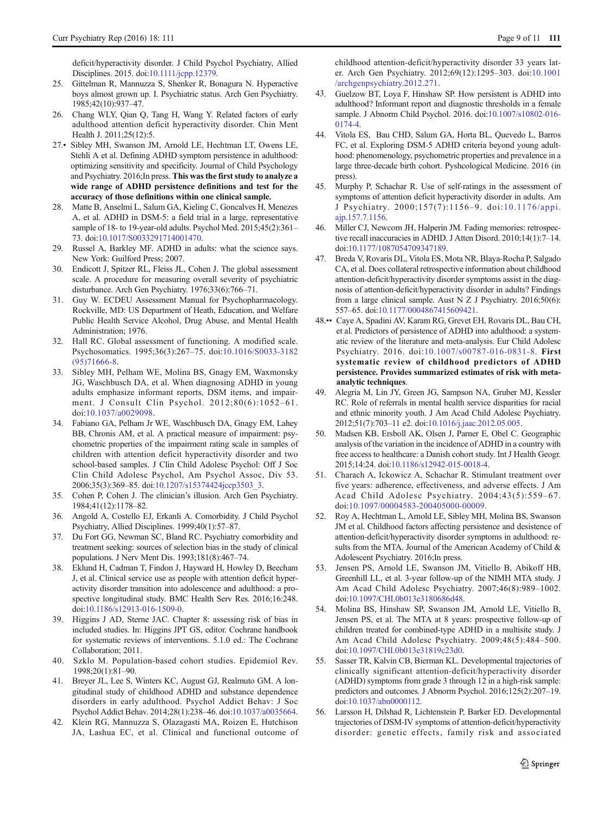<span id="page-8-0"></span>deficit/hyperactivity disorder. J Child Psychol Psychiatry, Allied Disciplines. 2015. doi:[10.1111/jcpp.12379.](http://dx.doi.org/10.1111/jcpp.12379)

- 25. Gittelman R, Mannuzza S, Shenker R, Bonagura N. Hyperactive boys almost grown up. I. Psychiatric status. Arch Gen Psychiatry. 1985;42(10):937–47.
- 26. Chang WLY, Qian Q, Tang H, Wang Y. Related factors of early adulthood attention deficit hyperactivity disorder. Chin Ment Health J. 2011;25(12):5.
- 27.• Sibley MH, Swanson JM, Arnold LE, Hechtman LT, Owens LE, Stehli A et al. Defining ADHD symptom persistence in adulthood: optimizing sensitivity and specificity. Journal of Child Psychology and Psychiatry. 2016;In press. This was the first study to analyze a wide range of ADHD persistence definitions and test for the accuracy of those definitions within one clinical sample.
- 28. Matte B, Anselmi L, Salum GA, Kieling C, Goncalves H, Menezes A, et al. ADHD in DSM-5: a field trial in a large, representative sample of 18- to 19-year-old adults. Psychol Med. 2015;45(2):361– 73. doi[:10.1017/S0033291714001470](http://dx.doi.org/10.1017/S0033291714001470).
- 29. Russel A, Barkley MF. ADHD in adults: what the science says. New York: Guilford Press; 2007.
- 30. Endicott J, Spitzer RL, Fleiss JL, Cohen J. The global assessment scale. A procedure for measuring overall severity of psychiatric disturbance. Arch Gen Psychiatry. 1976;33(6):766–71.
- 31. Guy W. ECDEU Assessment Manual for Psychopharmacology. Rockville, MD: US Department of Heath, Education, and Welfare Public Health Service Alcohol, Drug Abuse, and Mental Health Administration; 1976.
- 32. Hall RC. Global assessment of functioning. A modified scale. Psychosomatics. 1995;36(3):267–75. doi[:10.1016/S0033-3182](http://dx.doi.org/10.1016/S0033-3182(95)71666-8) [\(95\)71666-8](http://dx.doi.org/10.1016/S0033-3182(95)71666-8).
- 33. Sibley MH, Pelham WE, Molina BS, Gnagy EM, Waxmonsky JG, Waschbusch DA, et al. When diagnosing ADHD in young adults emphasize informant reports, DSM items, and impairment. J Consult Clin Psychol. 2012;80(6):1052–61. doi:[10.1037/a0029098](http://dx.doi.org/10.1037/a0029098).
- 34. Fabiano GA, Pelham Jr WE, Waschbusch DA, Gnagy EM, Lahey BB, Chronis AM, et al. A practical measure of impairment: psychometric properties of the impairment rating scale in samples of children with attention deficit hyperactivity disorder and two school-based samples. J Clin Child Adolesc Psychol: Off J Soc Clin Child Adolesc Psychol, Am Psychol Assoc, Div 53. 2006;35(3):369–85. doi[:10.1207/s15374424jccp3503\\_3](http://dx.doi.org/10.1207/s15374424jccp3503_3).
- 35. Cohen P, Cohen J. The clinician's illusion. Arch Gen Psychiatry. 1984;41(12):1178–82.
- 36. Angold A, Costello EJ, Erkanli A. Comorbidity. J Child Psychol Psychiatry, Allied Disciplines. 1999;40(1):57–87.
- 37. Du Fort GG, Newman SC, Bland RC. Psychiatry comorbidity and treatment seeking: sources of selection bias in the study of clinical populations. J Nerv Ment Dis. 1993;181(8):467–74.
- 38. Eklund H, Cadman T, Findon J, Hayward H, Howley D, Beecham J, et al. Clinical service use as people with attention deficit hyperactivity disorder transition into adolescence and adulthood: a prospective longitudinal study. BMC Health Serv Res. 2016;16:248. doi:[10.1186/s12913-016-1509-0](http://dx.doi.org/10.1186/s12913-016-1509-0).
- 39. Higgins J AD, Sterne JAC. Chapter 8: assessing risk of bias in included studies. In: Higgins JPT GS, editor. Cochrane handbook for systematic reviews of interventions. 5.1.0 ed.: The Cochrane Collaboration; 2011.
- 40. Szklo M. Population-based cohort studies. Epidemiol Rev. 1998;20(1):81–90.
- 41. Breyer JL, Lee S, Winters KC, August GJ, Realmuto GM. A longitudinal study of childhood ADHD and substance dependence disorders in early adulthood. Psychol Addict Behav: J Soc Psychol Addict Behav. 2014;28(1):238–46. doi[:10.1037/a0035664](http://dx.doi.org/10.1037/a0035664).
- 42. Klein RG, Mannuzza S, Olazagasti MA, Roizen E, Hutchison JA, Lashua EC, et al. Clinical and functional outcome of

childhood attention-deficit/hyperactivity disorder 33 years later. Arch Gen Psychiatry. 2012;69(12):1295–303. doi[:10.1001](http://dx.doi.org/10.1001/archgenpsychiatry.2012.271) [/archgenpsychiatry.2012.271](http://dx.doi.org/10.1001/archgenpsychiatry.2012.271).

- 43. Guelzow BT, Loya F, Hinshaw SP. How persistent is ADHD into adulthood? Informant report and diagnostic thresholds in a female sample. J Abnorm Child Psychol. 2016. doi:[10.1007/s10802-016-](http://dx.doi.org/10.1007/s10802-016-0174-4) [0174-4](http://dx.doi.org/10.1007/s10802-016-0174-4).
- 44. Vitola ES, Bau CHD, Salum GA, Horta BL, Quevedo L, Barros FC, et al. Exploring DSM-5 ADHD criteria beyond young adulthood: phenomenology, psychometric properties and prevalence in a large three-decade birth cohort. Pyshcological Medicine. 2016 (in press).
- 45. Murphy P, Schachar R. Use of self-ratings in the assessment of symptoms of attention deficit hyperactivity disorder in adults. Am J Psychiatry. 2000;157(7):1156–9. doi:[10.1176/appi.](http://dx.doi.org/10.1176/appi.ajp.157.7.1156) [ajp.157.7.1156](http://dx.doi.org/10.1176/appi.ajp.157.7.1156).
- 46. Miller CJ, Newcorn JH, Halperin JM. Fading memories: retrospective recall inaccuracies in ADHD. J Atten Disord. 2010;14(1):7–14. doi[:10.1177/1087054709347189.](http://dx.doi.org/10.1177/1087054709347189)
- 47. Breda V, Rovaris DL, Vitola ES, Mota NR, Blaya-Rocha P, Salgado CA, et al. Does collateral retrospective information about childhood attention-deficit/hyperactivity disorder symptoms assist in the diagnosis of attention-deficit/hyperactivity disorder in adults? Findings from a large clinical sample. Aust N Z J Psychiatry. 2016;50(6): 557–65. doi[:10.1177/0004867415609421.](http://dx.doi.org/10.1177/0004867415609421)
- 48.•• Caye A, Spadini AV, Karam RG, Grevet EH, Rovaris DL, Bau CH, et al. Predictors of persistence of ADHD into adulthood: a systematic review of the literature and meta-analysis. Eur Child Adolesc Psychiatry. 2016. doi:[10.1007/s00787-016-0831-8](http://dx.doi.org/10.1007/s00787-016-0831-8). First systematic review of childhood predictors of ADHD persistence. Provides summarized estimates of risk with metaanalytic techniques.
- 49. Alegria M, Lin JY, Green JG, Sampson NA, Gruber MJ, Kessler RC. Role of referrals in mental health service disparities for racial and ethnic minority youth. J Am Acad Child Adolesc Psychiatry. 2012;51(7):703–11 e2. doi[:10.1016/j.jaac.2012.05.005.](http://dx.doi.org/10.1016/j.jaac.2012.05.005)
- 50. Madsen KB, Ersboll AK, Olsen J, Parner E, Obel C. Geographic analysis of the variation in the incidence of ADHD in a country with free access to healthcare: a Danish cohort study. Int J Health Geogr. 2015;14:24. doi:[10.1186/s12942-015-0018-4](http://dx.doi.org/10.1186/s12942-015-0018-4).
- 51. Charach A, Ickowicz A, Schachar R. Stimulant treatment over five years: adherence, effectiveness, and adverse effects. J Am Acad Child Adolesc Psychiatry. 2004;43(5):559–67. doi:[10.1097/00004583-200405000-00009](http://dx.doi.org/10.1097/00004583-200405000-00009).
- 52. Roy A, Hechtman L, Arnold LE, Sibley MH, Molina BS, Swanson JM et al. Childhood factors affecting persistence and desistence of attention-deficit/hyperactivity disorder symptoms in adulthood: results from the MTA. Journal of the American Academy of Child & Adolescent Psychiatry. 2016;In press.
- 53. Jensen PS, Arnold LE, Swanson JM, Vitiello B, Abikoff HB, Greenhill LL, et al. 3-year follow-up of the NIMH MTA study. J Am Acad Child Adolesc Psychiatry. 2007;46(8):989–1002. doi[:10.1097/CHI.0b013e3180686d48](http://dx.doi.org/10.1097/CHI.0b013e3180686d48).
- 54. Molina BS, Hinshaw SP, Swanson JM, Arnold LE, Vitiello B, Jensen PS, et al. The MTA at 8 years: prospective follow-up of children treated for combined-type ADHD in a multisite study. J Am Acad Child Adolesc Psychiatry. 2009;48(5):484–500. doi[:10.1097/CHI.0b013e31819c23d0](http://dx.doi.org/10.1097/CHI.0b013e31819c23d0).
- 55. Sasser TR, Kalvin CB, Bierman KL. Developmental trajectories of clinically significant attention-deficit/hyperactivity disorder (ADHD) symptoms from grade 3 through 12 in a high-risk sample: predictors and outcomes. J Abnorm Psychol. 2016;125(2):207–19. doi[:10.1037/abn0000112](http://dx.doi.org/10.1037/abn0000112).
- 56. Larsson H, Dilshad R, Lichtenstein P, Barker ED. Developmental trajectories of DSM-IV symptoms of attention-deficit/hyperactivity disorder: genetic effects, family risk and associated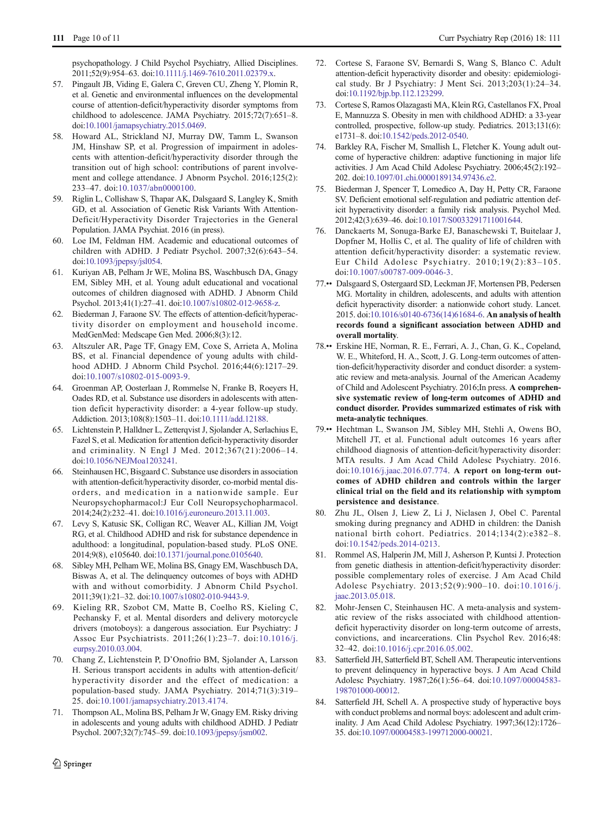<span id="page-9-0"></span>psychopathology. J Child Psychol Psychiatry, Allied Disciplines. 2011;52(9):954–63. doi[:10.1111/j.1469-7610.2011.02379.x](http://dx.doi.org/10.1111/j.1469-7610.2011.02379.x).

- 57. Pingault JB, Viding E, Galera C, Greven CU, Zheng Y, Plomin R, et al. Genetic and environmental influences on the developmental course of attention-deficit/hyperactivity disorder symptoms from childhood to adolescence. JAMA Psychiatry. 2015;72(7):651–8. doi:[10.1001/jamapsychiatry.2015.0469](http://dx.doi.org/10.1001/jamapsychiatry.2015.0469).
- 58. Howard AL, Strickland NJ, Murray DW, Tamm L, Swanson JM, Hinshaw SP, et al. Progression of impairment in adolescents with attention-deficit/hyperactivity disorder through the transition out of high school: contributions of parent involvement and college attendance. J Abnorm Psychol. 2016;125(2): 233–47. doi:[10.1037/abn0000100](http://dx.doi.org/10.1037/abn0000100).
- 59. Riglin L, Collishaw S, Thapar AK, Dalsgaard S, Langley K, Smith GD, et al. Association of Genetic Risk Variants With Attention-Deficit/Hyperactivity Disorder Trajectories in the General Population. JAMA Psychiat. 2016 (in press).
- 60. Loe IM, Feldman HM. Academic and educational outcomes of children with ADHD. J Pediatr Psychol. 2007;32(6):643–54. doi[:10.1093/jpepsy/jsl054.](http://dx.doi.org/10.1093/jpepsy/jsl054)
- 61. Kuriyan AB, Pelham Jr WE, Molina BS, Waschbusch DA, Gnagy EM, Sibley MH, et al. Young adult educational and vocational outcomes of children diagnosed with ADHD. J Abnorm Child Psychol. 2013;41(1):27–41. doi:[10.1007/s10802-012-9658-z.](http://dx.doi.org/10.1007/s10802-012-9658-z)
- 62. Biederman J, Faraone SV. The effects of attention-deficit/hyperactivity disorder on employment and household income. MedGenMed: Medscape Gen Med. 2006;8(3):12.
- 63. Altszuler AR, Page TF, Gnagy EM, Coxe S, Arrieta A, Molina BS, et al. Financial dependence of young adults with childhood ADHD. J Abnorm Child Psychol. 2016;44(6):1217–29. doi:[10.1007/s10802-015-0093-9](http://dx.doi.org/10.1007/s10802-015-0093-9).
- 64. Groenman AP, Oosterlaan J, Rommelse N, Franke B, Roeyers H, Oades RD, et al. Substance use disorders in adolescents with attention deficit hyperactivity disorder: a 4-year follow-up study. Addiction. 2013;108(8):1503–11. doi[:10.1111/add.12188](http://dx.doi.org/10.1111/add.12188).
- 65. Lichtenstein P, Halldner L, Zetterqvist J, Sjolander A, Serlachius E, Fazel S, et al. Medication for attention deficit-hyperactivity disorder and criminality. N Engl J Med. 2012;367(21):2006–14. doi:[10.1056/NEJMoa1203241.](http://dx.doi.org/10.1056/NEJMoa1203241)
- 66. Steinhausen HC, Bisgaard C. Substance use disorders in association with attention-deficit/hyperactivity disorder, co-morbid mental disorders, and medication in a nationwide sample. Eur Neuropsychopharmacol:J Eur Coll Neuropsychopharmacol. 2014;24(2):232–41. doi[:10.1016/j.euroneuro.2013.11.003.](http://dx.doi.org/10.1016/j.euroneuro.2013.11.003)
- 67. Levy S, Katusic SK, Colligan RC, Weaver AL, Killian JM, Voigt RG, et al. Childhood ADHD and risk for substance dependence in adulthood: a longitudinal, population-based study. PLoS ONE. 2014;9(8), e105640. doi[:10.1371/journal.pone.0105640](http://dx.doi.org/10.1371/journal.pone.0105640).
- 68. Sibley MH, Pelham WE, Molina BS, Gnagy EM, Waschbusch DA, Biswas A, et al. The delinquency outcomes of boys with ADHD with and without comorbidity. J Abnorm Child Psychol. 2011;39(1):21–32. doi[:10.1007/s10802-010-9443-9.](http://dx.doi.org/10.1007/s10802-010-9443-9)
- 69. Kieling RR, Szobot CM, Matte B, Coelho RS, Kieling C, Pechansky F, et al. Mental disorders and delivery motorcycle drivers (motoboys): a dangerous association. Eur Psychiatry: J Assoc Eur Psychiatrists. 2011;26(1):23–7. doi:[10.1016/j.](http://dx.doi.org/10.1016/j.eurpsy.2010.03.004) [eurpsy.2010.03.004.](http://dx.doi.org/10.1016/j.eurpsy.2010.03.004)
- 70. Chang Z, Lichtenstein P, D'Onofrio BM, Sjolander A, Larsson H. Serious transport accidents in adults with attention-deficit/ hyperactivity disorder and the effect of medication: a population-based study. JAMA Psychiatry. 2014;71(3):319– 25. doi[:10.1001/jamapsychiatry.2013.4174](http://dx.doi.org/10.1001/jamapsychiatry.2013.4174).
- 71. Thompson AL, Molina BS, Pelham Jr W, Gnagy EM. Risky driving in adolescents and young adults with childhood ADHD. J Pediatr Psychol. 2007;32(7):745–59. doi:[10.1093/jpepsy/jsm002](http://dx.doi.org/10.1093/jpepsy/jsm002).
- 72. Cortese S, Faraone SV, Bernardi S, Wang S, Blanco C. Adult attention-deficit hyperactivity disorder and obesity: epidemiological study. Br J Psychiatry: J Ment Sci. 2013;203(1):24–34. doi[:10.1192/bjp.bp.112.123299.](http://dx.doi.org/10.1192/bjp.bp.112.123299)
- 73. Cortese S, Ramos Olazagasti MA, Klein RG, Castellanos FX, Proal E, Mannuzza S. Obesity in men with childhood ADHD: a 33-year controlled, prospective, follow-up study. Pediatrics. 2013;131(6): e1731–8. doi:[10.1542/peds.2012-0540](http://dx.doi.org/10.1542/peds.2012-0540).
- 74. Barkley RA, Fischer M, Smallish L, Fletcher K. Young adult outcome of hyperactive children: adaptive functioning in major life activities. J Am Acad Child Adolesc Psychiatry. 2006;45(2):192– 202. doi:[10.1097/01.chi.0000189134.97436.e2.](http://dx.doi.org/10.1097/01.chi.0000189134.97436.e2)
- 75. Biederman J, Spencer T, Lomedico A, Day H, Petty CR, Faraone SV. Deficient emotional self-regulation and pediatric attention deficit hyperactivity disorder: a family risk analysis. Psychol Med. 2012;42(3):639–46. doi:[10.1017/S0033291711001644](http://dx.doi.org/10.1017/S0033291711001644).
- 76. Danckaerts M, Sonuga-Barke EJ, Banaschewski T, Buitelaar J, Dopfner M, Hollis C, et al. The quality of life of children with attention deficit/hyperactivity disorder: a systematic review. Eur Child Adolesc Psychiatry. 2010;19(2):83–105. doi:[10.1007/s00787-009-0046-3](http://dx.doi.org/10.1007/s00787-009-0046-3).
- 77.•• Dalsgaard S, Ostergaard SD, Leckman JF, Mortensen PB, Pedersen MG. Mortality in children, adolescents, and adults with attention deficit hyperactivity disorder: a nationwide cohort study. Lancet. 2015. doi[:10.1016/s0140-6736\(14\)61684-6](http://dx.doi.org/10.1016/s0140-6736(14)61684-6). An analysis of health records found a significant association between ADHD and overall mortality.
- 78.•• Erskine HE, Norman, R. E., Ferrari, A. J., Chan, G. K., Copeland, W. E., Whiteford, H. A., Scott, J. G. Long-term outcomes of attention-deficit/hyperactivity disorder and conduct disorder: a systematic review and meta-analysis. Journal of the American Academy of Child and Adolescent Psychiatry. 2016;In press. A comprehensive systematic review of long-term outcomes of ADHD and conduct disorder. Provides summarized estimates of risk with meta-analytic techniques.
- 79.•• Hechtman L, Swanson JM, Sibley MH, Stehli A, Owens BO, Mitchell JT, et al. Functional adult outcomes 16 years after childhood diagnosis of attention-deficit/hyperactivity disorder: MTA results. J Am Acad Child Adolesc Psychiatry. 2016. doi:[10.1016/j.jaac.2016.07.774](http://dx.doi.org/10.1016/j.jaac.2016.07.774). A report on long-term outcomes of ADHD children and controls within the larger clinical trial on the field and its relationship with symptom persistence and desistance.
- 80. Zhu JL, Olsen J, Liew Z, Li J, Niclasen J, Obel C. Parental smoking during pregnancy and ADHD in children: the Danish national birth cohort. Pediatrics. 2014;134(2):e382–8. doi:[10.1542/peds.2014-0213.](http://dx.doi.org/10.1542/peds.2014-0213)
- 81. Rommel AS, Halperin JM, Mill J, Asherson P, Kuntsi J. Protection from genetic diathesis in attention-deficit/hyperactivity disorder: possible complementary roles of exercise. J Am Acad Child Adolesc Psychiatry. 2013;52(9):900–10. doi:[10.1016/j.](http://dx.doi.org/10.1016/j.jaac.2013.05.018) [jaac.2013.05.018](http://dx.doi.org/10.1016/j.jaac.2013.05.018).
- 82. Mohr-Jensen C, Steinhausen HC. A meta-analysis and systematic review of the risks associated with childhood attentiondeficit hyperactivity disorder on long-term outcome of arrests, convictions, and incarcerations. Clin Psychol Rev. 2016;48: 32–42. doi[:10.1016/j.cpr.2016.05.002.](http://dx.doi.org/10.1016/j.cpr.2016.05.002)
- 83. Satterfield JH, Satterfield BT, Schell AM. Therapeutic interventions to prevent delinquency in hyperactive boys. J Am Acad Child Adolesc Psychiatry. 1987;26(1):56–64. doi[:10.1097/00004583-](http://dx.doi.org/10.1097/00004583-198701000-00012) [198701000-00012.](http://dx.doi.org/10.1097/00004583-198701000-00012)
- 84. Satterfield JH, Schell A. A prospective study of hyperactive boys with conduct problems and normal boys: adolescent and adult criminality. J Am Acad Child Adolesc Psychiatry. 1997;36(12):1726– 35. doi[:10.1097/00004583-199712000-00021.](http://dx.doi.org/10.1097/00004583-199712000-00021)